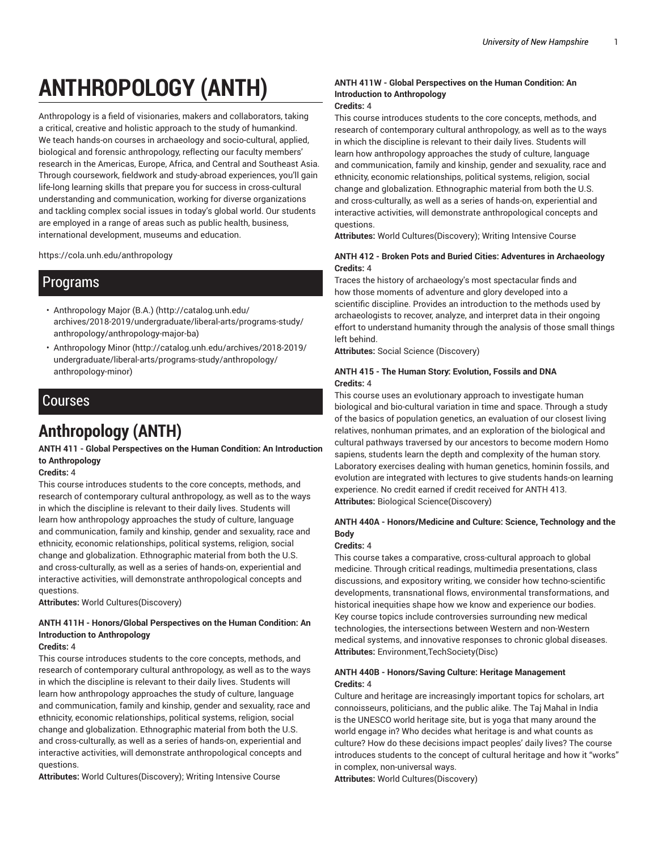# **ANTHROPOLOGY (ANTH)**

Anthropology is a field of visionaries, makers and collaborators, taking a critical, creative and holistic approach to the study of humankind. We teach hands-on courses in archaeology and socio-cultural, applied, biological and forensic anthropology, reflecting our faculty members' research in the Americas, Europe, Africa, and Central and Southeast Asia. Through coursework, fieldwork and study-abroad experiences, you'll gain life-long learning skills that prepare you for success in cross-cultural understanding and communication, working for diverse organizations and tackling complex social issues in today's global world. Our students are employed in a range of areas such as public health, business, international development, museums and education.

https://cola.unh.edu/anthropology

# Programs

- Anthropology Major (B.A.) (http://catalog.unh.edu/ archives/2018-2019/undergraduate/liberal-arts/programs-study/ anthropology/anthropology-major-ba)
- Anthropology Minor (http://catalog.unh.edu/archives/2018-2019/ undergraduate/liberal-arts/programs-study/anthropology/ anthropology-minor)

# Courses

# **Anthropology (ANTH)**

## **ANTH 411 - Global Perspectives on the Human Condition: An Introduction to Anthropology**

## **Credits:** 4

This course introduces students to the core concepts, methods, and research of contemporary cultural anthropology, as well as to the ways in which the discipline is relevant to their daily lives. Students will learn how anthropology approaches the study of culture, language and communication, family and kinship, gender and sexuality, race and ethnicity, economic relationships, political systems, religion, social change and globalization. Ethnographic material from both the U.S. and cross-culturally, as well as a series of hands-on, experiential and interactive activities, will demonstrate anthropological concepts and questions.

**Attributes:** World Cultures(Discovery)

## **ANTH 411H - Honors/Global Perspectives on the Human Condition: An Introduction to Anthropology**

## **Credits:** 4

This course introduces students to the core concepts, methods, and research of contemporary cultural anthropology, as well as to the ways in which the discipline is relevant to their daily lives. Students will learn how anthropology approaches the study of culture, language and communication, family and kinship, gender and sexuality, race and ethnicity, economic relationships, political systems, religion, social change and globalization. Ethnographic material from both the U.S. and cross-culturally, as well as a series of hands-on, experiential and interactive activities, will demonstrate anthropological concepts and questions.

**Attributes:** World Cultures(Discovery); Writing Intensive Course

## **ANTH 411W - Global Perspectives on the Human Condition: An Introduction to Anthropology**

## **Credits:** 4

This course introduces students to the core concepts, methods, and research of contemporary cultural anthropology, as well as to the ways in which the discipline is relevant to their daily lives. Students will learn how anthropology approaches the study of culture, language and communication, family and kinship, gender and sexuality, race and ethnicity, economic relationships, political systems, religion, social change and globalization. Ethnographic material from both the U.S. and cross-culturally, as well as a series of hands-on, experiential and interactive activities, will demonstrate anthropological concepts and questions.

**Attributes:** World Cultures(Discovery); Writing Intensive Course

## **ANTH 412 - Broken Pots and Buried Cities: Adventures in Archaeology Credits:** 4

Traces the history of archaeology's most spectacular finds and how those moments of adventure and glory developed into a scientific discipline. Provides an introduction to the methods used by archaeologists to recover, analyze, and interpret data in their ongoing effort to understand humanity through the analysis of those small things left behind.

**Attributes:** Social Science (Discovery)

## **ANTH 415 - The Human Story: Evolution, Fossils and DNA Credits:** 4

This course uses an evolutionary approach to investigate human biological and bio-cultural variation in time and space. Through a study of the basics of population genetics, an evaluation of our closest living relatives, nonhuman primates, and an exploration of the biological and cultural pathways traversed by our ancestors to become modern Homo sapiens, students learn the depth and complexity of the human story. Laboratory exercises dealing with human genetics, hominin fossils, and evolution are integrated with lectures to give students hands-on learning experience. No credit earned if credit received for ANTH 413. **Attributes:** Biological Science(Discovery)

## **ANTH 440A - Honors/Medicine and Culture: Science, Technology and the Body**

#### **Credits:** 4

This course takes a comparative, cross-cultural approach to global medicine. Through critical readings, multimedia presentations, class discussions, and expository writing, we consider how techno-scientific developments, transnational flows, environmental transformations, and historical inequities shape how we know and experience our bodies. Key course topics include controversies surrounding new medical technologies, the intersections between Western and non-Western medical systems, and innovative responses to chronic global diseases. **Attributes:** Environment,TechSociety(Disc)

## **ANTH 440B - Honors/Saving Culture: Heritage Management Credits:** 4

Culture and heritage are increasingly important topics for scholars, art connoisseurs, politicians, and the public alike. The Taj Mahal in India is the UNESCO world heritage site, but is yoga that many around the world engage in? Who decides what heritage is and what counts as culture? How do these decisions impact peoples' daily lives? The course introduces students to the concept of cultural heritage and how it "works" in complex, non-universal ways.

**Attributes:** World Cultures(Discovery)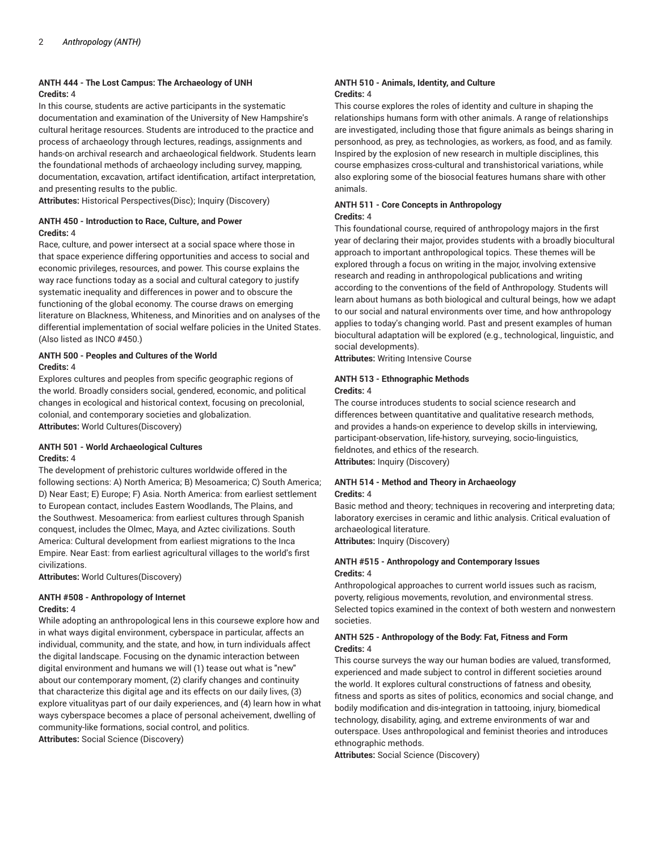## **ANTH 444 - The Lost Campus: The Archaeology of UNH Credits:** 4

In this course, students are active participants in the systematic documentation and examination of the University of New Hampshire's cultural heritage resources. Students are introduced to the practice and process of archaeology through lectures, readings, assignments and hands-on archival research and archaeological fieldwork. Students learn the foundational methods of archaeology including survey, mapping, documentation, excavation, artifact identification, artifact interpretation, and presenting results to the public.

**Attributes:** Historical Perspectives(Disc); Inquiry (Discovery)

## **ANTH 450 - Introduction to Race, Culture, and Power Credits:** 4

Race, culture, and power intersect at a social space where those in that space experience differing opportunities and access to social and economic privileges, resources, and power. This course explains the way race functions today as a social and cultural category to justify systematic inequality and differences in power and to obscure the functioning of the global economy. The course draws on emerging literature on Blackness, Whiteness, and Minorities and on analyses of the differential implementation of social welfare policies in the United States. (Also listed as INCO #450.)

## **ANTH 500 - Peoples and Cultures of the World Credits:** 4

Explores cultures and peoples from specific geographic regions of the world. Broadly considers social, gendered, economic, and political changes in ecological and historical context, focusing on precolonial, colonial, and contemporary societies and globalization. **Attributes:** World Cultures(Discovery)

## **ANTH 501 - World Archaeological Cultures Credits:** 4

The development of prehistoric cultures worldwide offered in the following sections: A) North America; B) Mesoamerica; C) South America; D) Near East; E) Europe; F) Asia. North America: from earliest settlement to European contact, includes Eastern Woodlands, The Plains, and the Southwest. Mesoamerica: from earliest cultures through Spanish conquest, includes the Olmec, Maya, and Aztec civilizations. South America: Cultural development from earliest migrations to the Inca Empire. Near East: from earliest agricultural villages to the world's first civilizations.

**Attributes:** World Cultures(Discovery)

#### **ANTH #508 - Anthropology of Internet Credits:** 4

While adopting an anthropological lens in this coursewe explore how and in what ways digital environment, cyberspace in particular, affects an individual, community, and the state, and how, in turn individuals affect the digital landscape. Focusing on the dynamic interaction between digital environment and humans we will (1) tease out what is "new" about our contemporary moment, (2) clarify changes and continuity that characterize this digital age and its effects on our daily lives, (3) explore vitualityas part of our daily experiences, and (4) learn how in what ways cyberspace becomes a place of personal acheivement, dwelling of community-like formations, social control, and politics. **Attributes:** Social Science (Discovery)

#### **ANTH 510 - Animals, Identity, and Culture Credits:** 4

This course explores the roles of identity and culture in shaping the relationships humans form with other animals. A range of relationships are investigated, including those that figure animals as beings sharing in personhood, as prey, as technologies, as workers, as food, and as family. Inspired by the explosion of new research in multiple disciplines, this course emphasizes cross-cultural and transhistorical variations, while also exploring some of the biosocial features humans share with other animals.

#### **ANTH 511 - Core Concepts in Anthropology Credits:** 4

This foundational course, required of anthropology majors in the first year of declaring their major, provides students with a broadly biocultural approach to important anthropological topics. These themes will be explored through a focus on writing in the major, involving extensive research and reading in anthropological publications and writing according to the conventions of the field of Anthropology. Students will learn about humans as both biological and cultural beings, how we adapt to our social and natural environments over time, and how anthropology applies to today's changing world. Past and present examples of human biocultural adaptation will be explored (e.g., technological, linguistic, and social developments).

**Attributes:** Writing Intensive Course

## **ANTH 513 - Ethnographic Methods**

**Credits:** 4

The course introduces students to social science research and differences between quantitative and qualitative research methods, and provides a hands-on experience to develop skills in interviewing, participant-observation, life-history, surveying, socio-linguistics, fieldnotes, and ethics of the research. **Attributes:** Inquiry (Discovery)

#### **ANTH 514 - Method and Theory in Archaeology Credits:** 4

Basic method and theory; techniques in recovering and interpreting data; laboratory exercises in ceramic and lithic analysis. Critical evaluation of archaeological literature.

**Attributes:** Inquiry (Discovery)

## **ANTH #515 - Anthropology and Contemporary Issues Credits:** 4

Anthropological approaches to current world issues such as racism, poverty, religious movements, revolution, and environmental stress. Selected topics examined in the context of both western and nonwestern societies.

## **ANTH 525 - Anthropology of the Body: Fat, Fitness and Form Credits:** 4

This course surveys the way our human bodies are valued, transformed, experienced and made subject to control in different societies around the world. It explores cultural constructions of fatness and obesity, fitness and sports as sites of politics, economics and social change, and bodily modification and dis-integration in tattooing, injury, biomedical technology, disability, aging, and extreme environments of war and outerspace. Uses anthropological and feminist theories and introduces ethnographic methods.

**Attributes:** Social Science (Discovery)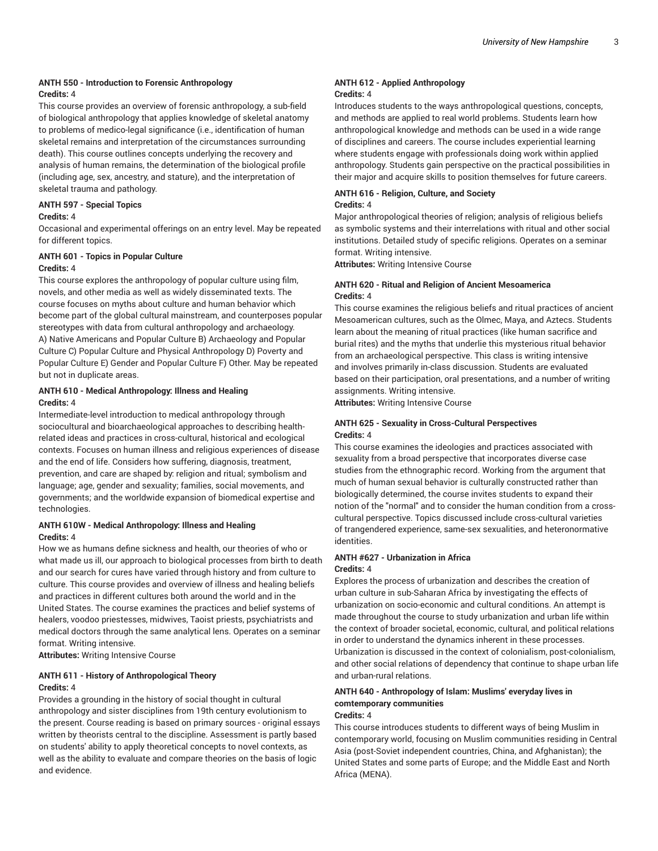## **ANTH 550 - Introduction to Forensic Anthropology Credits:** 4

This course provides an overview of forensic anthropology, a sub-field of biological anthropology that applies knowledge of skeletal anatomy to problems of medico-legal significance (i.e., identification of human skeletal remains and interpretation of the circumstances surrounding death). This course outlines concepts underlying the recovery and analysis of human remains, the determination of the biological profile (including age, sex, ancestry, and stature), and the interpretation of skeletal trauma and pathology.

#### **ANTH 597 - Special Topics**

#### **Credits:** 4

Occasional and experimental offerings on an entry level. May be repeated for different topics.

# **ANTH 601 - Topics in Popular Culture**

## **Credits:** 4

This course explores the anthropology of popular culture using film, novels, and other media as well as widely disseminated texts. The course focuses on myths about culture and human behavior which become part of the global cultural mainstream, and counterposes popular stereotypes with data from cultural anthropology and archaeology. A) Native Americans and Popular Culture B) Archaeology and Popular Culture C) Popular Culture and Physical Anthropology D) Poverty and Popular Culture E) Gender and Popular Culture F) Other. May be repeated but not in duplicate areas.

## **ANTH 610 - Medical Anthropology: Illness and Healing Credits:** 4

Intermediate-level introduction to medical anthropology through sociocultural and bioarchaeological approaches to describing healthrelated ideas and practices in cross-cultural, historical and ecological contexts. Focuses on human illness and religious experiences of disease and the end of life. Considers how suffering, diagnosis, treatment, prevention, and care are shaped by: religion and ritual; symbolism and language; age, gender and sexuality; families, social movements, and governments; and the worldwide expansion of biomedical expertise and technologies.

## **ANTH 610W - Medical Anthropology: Illness and Healing Credits:** 4

How we as humans define sickness and health, our theories of who or what made us ill, our approach to biological processes from birth to death and our search for cures have varied through history and from culture to culture. This course provides and overview of illness and healing beliefs and practices in different cultures both around the world and in the United States. The course examines the practices and belief systems of healers, voodoo priestesses, midwives, Taoist priests, psychiatrists and medical doctors through the same analytical lens. Operates on a seminar format. Writing intensive.

**Attributes:** Writing Intensive Course

## **ANTH 611 - History of Anthropological Theory Credits:** 4

Provides a grounding in the history of social thought in cultural anthropology and sister disciplines from 19th century evolutionism to the present. Course reading is based on primary sources - original essays written by theorists central to the discipline. Assessment is partly based on students' ability to apply theoretical concepts to novel contexts, as well as the ability to evaluate and compare theories on the basis of logic and evidence.

#### **ANTH 612 - Applied Anthropology Credits:** 4

Introduces students to the ways anthropological questions, concepts, and methods are applied to real world problems. Students learn how anthropological knowledge and methods can be used in a wide range of disciplines and careers. The course includes experiential learning where students engage with professionals doing work within applied anthropology. Students gain perspective on the practical possibilities in their major and acquire skills to position themselves for future careers.

## **ANTH 616 - Religion, Culture, and Society Credits:** 4

Major anthropological theories of religion; analysis of religious beliefs as symbolic systems and their interrelations with ritual and other social institutions. Detailed study of specific religions. Operates on a seminar format. Writing intensive.

**Attributes:** Writing Intensive Course

## **ANTH 620 - Ritual and Religion of Ancient Mesoamerica Credits:** 4

This course examines the religious beliefs and ritual practices of ancient Mesoamerican cultures, such as the Olmec, Maya, and Aztecs. Students learn about the meaning of ritual practices (like human sacrifice and burial rites) and the myths that underlie this mysterious ritual behavior from an archaeological perspective. This class is writing intensive and involves primarily in-class discussion. Students are evaluated based on their participation, oral presentations, and a number of writing assignments. Writing intensive.

**Attributes:** Writing Intensive Course

## **ANTH 625 - Sexuality in Cross-Cultural Perspectives Credits:** 4

This course examines the ideologies and practices associated with sexuality from a broad perspective that incorporates diverse case studies from the ethnographic record. Working from the argument that much of human sexual behavior is culturally constructed rather than biologically determined, the course invites students to expand their notion of the "normal" and to consider the human condition from a crosscultural perspective. Topics discussed include cross-cultural varieties of trangendered experience, same-sex sexualities, and heteronormative identities.

## **ANTH #627 - Urbanization in Africa Credits:** 4

Explores the process of urbanization and describes the creation of urban culture in sub-Saharan Africa by investigating the effects of urbanization on socio-economic and cultural conditions. An attempt is made throughout the course to study urbanization and urban life within the context of broader societal, economic, cultural, and political relations in order to understand the dynamics inherent in these processes. Urbanization is discussed in the context of colonialism, post-colonialism, and other social relations of dependency that continue to shape urban life and urban-rural relations.

#### **ANTH 640 - Anthropology of Islam: Muslims' everyday lives in comtemporary communities Credits:** 4

This course introduces students to different ways of being Muslim in contemporary world, focusing on Muslim communities residing in Central Asia (post-Soviet independent countries, China, and Afghanistan); the United States and some parts of Europe; and the Middle East and North Africa (MENA).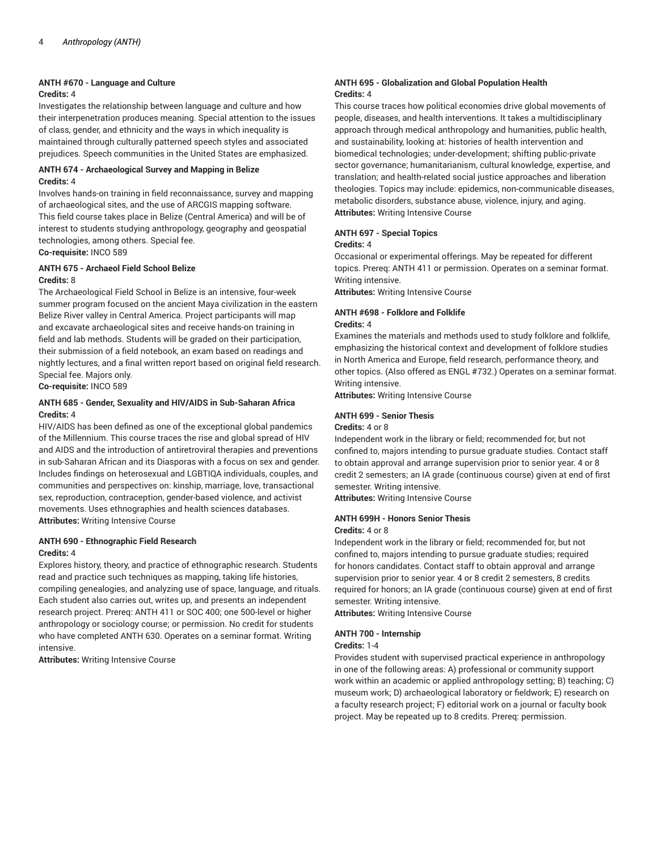#### **ANTH #670 - Language and Culture**

#### **Credits:** 4

Investigates the relationship between language and culture and how their interpenetration produces meaning. Special attention to the issues of class, gender, and ethnicity and the ways in which inequality is maintained through culturally patterned speech styles and associated prejudices. Speech communities in the United States are emphasized.

#### **ANTH 674 - Archaeological Survey and Mapping in Belize Credits:** 4

Involves hands-on training in field reconnaissance, survey and mapping of archaeological sites, and the use of ARCGIS mapping software. This field course takes place in Belize (Central America) and will be of interest to students studying anthropology, geography and geospatial technologies, among others. Special fee.

**Co-requisite:** INCO 589

#### **ANTH 675 - Archaeol Field School Belize Credits:** 8

The Archaeological Field School in Belize is an intensive, four-week summer program focused on the ancient Maya civilization in the eastern Belize River valley in Central America. Project participants will map and excavate archaeological sites and receive hands-on training in field and lab methods. Students will be graded on their participation, their submission of a field notebook, an exam based on readings and nightly lectures, and a final written report based on original field research. Special fee. Majors only.

**Co-requisite:** INCO 589

## **ANTH 685 - Gender, Sexuality and HIV/AIDS in Sub-Saharan Africa Credits:** 4

HIV/AIDS has been defined as one of the exceptional global pandemics of the Millennium. This course traces the rise and global spread of HIV and AIDS and the introduction of antiretroviral therapies and preventions in sub-Saharan African and its Diasporas with a focus on sex and gender. Includes findings on heterosexual and LGBTIQA individuals, couples, and communities and perspectives on: kinship, marriage, love, transactional sex, reproduction, contraception, gender-based violence, and activist movements. Uses ethnographies and health sciences databases. **Attributes:** Writing Intensive Course

## **ANTH 690 - Ethnographic Field Research Credits:** 4

Explores history, theory, and practice of ethnographic research. Students read and practice such techniques as mapping, taking life histories, compiling genealogies, and analyzing use of space, language, and rituals. Each student also carries out, writes up, and presents an independent research project. Prereq: ANTH 411 or SOC 400; one 500-level or higher anthropology or sociology course; or permission. No credit for students who have completed ANTH 630. Operates on a seminar format. Writing intensive.

**Attributes:** Writing Intensive Course

## **ANTH 695 - Globalization and Global Population Health Credits:** 4

This course traces how political economies drive global movements of people, diseases, and health interventions. It takes a multidisciplinary approach through medical anthropology and humanities, public health, and sustainability, looking at: histories of health intervention and biomedical technologies; under-development; shifting public-private sector governance; humanitarianism, cultural knowledge, expertise, and translation; and health-related social justice approaches and liberation theologies. Topics may include: epidemics, non-communicable diseases, metabolic disorders, substance abuse, violence, injury, and aging. **Attributes:** Writing Intensive Course

## **ANTH 697 - Special Topics**

#### **Credits:** 4

Occasional or experimental offerings. May be repeated for different topics. Prereq: ANTH 411 or permission. Operates on a seminar format. Writing intensive.

**Attributes:** Writing Intensive Course

#### **ANTH #698 - Folklore and Folklife Credits:** 4

Examines the materials and methods used to study folklore and folklife, emphasizing the historical context and development of folklore studies in North America and Europe, field research, performance theory, and other topics. (Also offered as ENGL #732.) Operates on a seminar format. Writing intensive.

**Attributes:** Writing Intensive Course

## **ANTH 699 - Senior Thesis**

#### **Credits:** 4 or 8

Independent work in the library or field; recommended for, but not confined to, majors intending to pursue graduate studies. Contact staff to obtain approval and arrange supervision prior to senior year. 4 or 8 credit 2 semesters; an IA grade (continuous course) given at end of first semester. Writing intensive.

**Attributes:** Writing Intensive Course

#### **ANTH 699H - Honors Senior Thesis**

#### **Credits:** 4 or 8

Independent work in the library or field; recommended for, but not confined to, majors intending to pursue graduate studies; required for honors candidates. Contact staff to obtain approval and arrange supervision prior to senior year. 4 or 8 credit 2 semesters, 8 credits required for honors; an IA grade (continuous course) given at end of first semester. Writing intensive.

**Attributes:** Writing Intensive Course

## **ANTH 700 - Internship**

#### **Credits:** 1-4

Provides student with supervised practical experience in anthropology in one of the following areas: A) professional or community support work within an academic or applied anthropology setting; B) teaching; C) museum work; D) archaeological laboratory or fieldwork; E) research on a faculty research project; F) editorial work on a journal or faculty book project. May be repeated up to 8 credits. Prereq: permission.